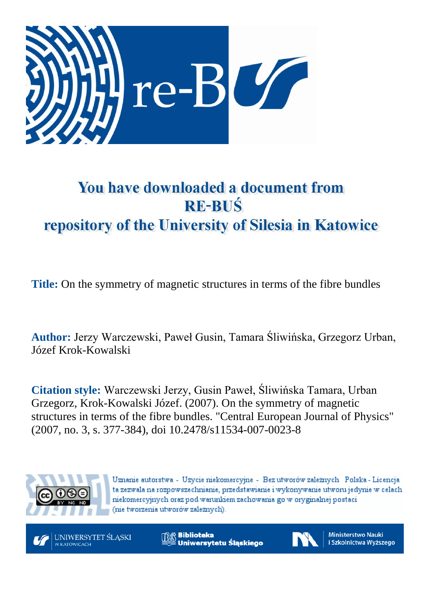

# You have downloaded a document from **RE-BUŚ** repository of the University of Silesia in Katowice

**Title:** On the symmetry of magnetic structures in terms of the fibre bundles

**Author:** Jerzy Warczewski, Paweł Gusin, Tamara Śliwińska, Grzegorz Urban, Józef Krok-Kowalski

**Citation style:** Warczewski Jerzy, Gusin Paweł, Śliwińska Tamara, Urban Grzegorz, Krok-Kowalski Józef. (2007). On the symmetry of magnetic structures in terms of the fibre bundles. "Central European Journal of Physics" (2007, no. 3, s. 377-384), doi 10.2478/s11534-007-0023-8



Uznanie autorstwa - Użycie niekomercyjne - Bez utworów zależnych Polska - Licencja ta zezwala na rozpowszechnianie, przedstawianie i wykonywanie utworu jedynie w celach niekomercyjnych oraz pod warunkiem zachowania go w oryginalnej postaci (nie tworzenia utworów zależnych).



**Biblioteka** Uniwersytetu Śląskiego



**Ministerstwo Nauki** i Szkolnictwa Wyższego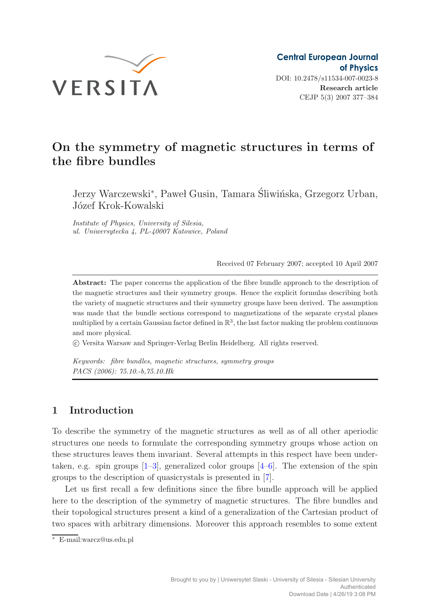

## **On the symmetry of magnetic structures in terms of the fibre bundles**

Jerzy Warczewski<sup>∗</sup>, Paweł Gusin, Tamara Śliwińska, Grzegorz Urban, Józef Krok-Kowalski

*Institute of Physics, University of Silesia, ul. Uniwersytecka 4, PL-40007 Katowice, Poland*

Received 07 February 2007; accepted 10 April 2007

**Abstract:** The paper concerns the application of the fibre bundle approach to the description of the magnetic structures and their symmetry groups. Hence the explicit formulas describing both the variety of magnetic structures and their symmetry groups have been derived. The assumption was made that the bundle sections correspond to magnetizations of the separate crystal planes multiplied by a certain Gaussian factor defined in  $\mathbb{R}^3$ , the last factor making the problem continuous and more physical.

c Versita Warsaw and Springer-Verlag Berlin Heidelberg. All rights reserved.

*Keywords: fibre bundles, magnetic structures, symmetry groups PACS (2006): 75.10.-b,75.10.Hk*

### **1 Introduction**

To describe the symmetry of the magnetic structures as well as of all other aperiodic structures one needs to formulate the corresponding symmetry groups whose action on these structures leaves them invariant. Several attempts in this respect have been undertaken, e.g. spin groups  $[1-3]$  $[1-3]$ , generalized color groups  $[4-6]$  $[4-6]$ . The extension of the spin groups to the description of quasicrystals is presented in [\[7](#page-8-4)].

Let us first recall a few definitions since the fibre bundle approach will be applied here to the description of the symmetry of magnetic structures. The fibre bundles and their topological structures present a kind of a generalization of the Cartesian product of two spaces with arbitrary dimensions. Moreover this approach resembles to some extent

<sup>∗</sup> E-mail:warcz@us.edu.pl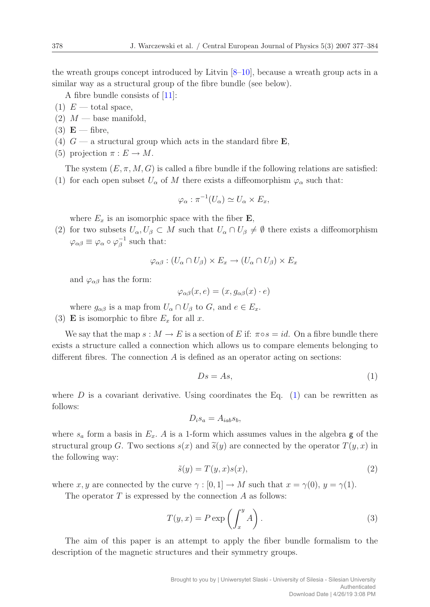the wreath groups concept introduced by Litvin [\[8](#page-8-5)[–10](#page-8-6)], because a wreath group acts in a similar way as a structural group of the fibre bundle (see below).

A fibre bundle consists of [\[11\]](#page-8-7):

- (1)  $E$  total space,
- $(2)$  M base manifold,
- $(3)$  **E** fibre,
- (4)  $G$  a structural group which acts in the standard fibre **E**,
- (5) projection  $\pi: E \to M$ .

The system  $(E, \pi, M, G)$  is called a fibre bundle if the following relations are satisfied:

(1) for each open subset  $U_{\alpha}$  of M there exists a diffeomorphism  $\varphi_{\alpha}$  such that:

$$
\varphi_{\alpha} : \pi^{-1}(U_{\alpha}) \simeq U_{\alpha} \times E_x,
$$

where  $E_x$  is an isomorphic space with the fiber **E**,

(2) for two subsets  $U_{\alpha}, U_{\beta} \subset M$  such that  $U_{\alpha} \cap U_{\beta} \neq \emptyset$  there exists a diffeomorphism  $\varphi_{\alpha\beta} \equiv \varphi_{\alpha} \circ \varphi_{\beta}^{-1}$  such that:

$$
\varphi_{\alpha\beta} : (U_{\alpha} \cap U_{\beta}) \times E_x \to (U_{\alpha} \cap U_{\beta}) \times E_x
$$

and  $\varphi_{\alpha\beta}$  has the form:

$$
\varphi_{\alpha\beta}(x,e) = (x, g_{\alpha\beta}(x) \cdot e)
$$

where  $g_{\alpha\beta}$  is a map from  $U_{\alpha} \cap U_{\beta}$  to  $G$ , and  $e \in E_x$ .

(3) **E** is isomorphic to fibre  $E_x$  for all x.

We say that the map  $s : M \to E$  is a section of E if:  $\pi \circ s = id$ . On a fibre bundle there exists a structure called a connection which allows us to compare elements belonging to different fibres. The connection  $A$  is defined as an operator acting on sections:

<span id="page-2-0"></span>
$$
Ds = As,\tag{1}
$$

where  $D$  is a covariant derivative. Using coordinates the Eq. [\(1\)](#page-2-0) can be rewritten as follows:

$$
D_i s_a = A_{iab} s_b,
$$

where  $s_a$  form a basis in  $E_x$ . A is a 1-form which assumes values in the algebra g of the structural group G. Two sections  $s(x)$  and  $\tilde{s}(y)$  are connected by the operator  $T(y, x)$  in<br>the following way: the following way:

$$
\tilde{s}(y) = T(y, x)s(x),\tag{2}
$$

where x, y are connected by the curve  $\gamma : [0, 1] \to M$  such that  $x = \gamma(0), y = \gamma(1)$ .

The operator  $T$  is expressed by the connection  $A$  as follows:

$$
T(y,x) = P \exp\left(\int_x^y A\right). \tag{3}
$$

The aim of this paper is an attempt to apply the fiber bundle formalism to the description of the magnetic structures and their symmetry groups.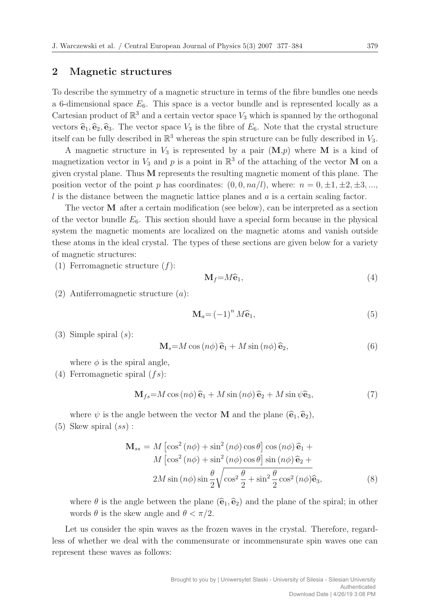#### **2 Magnetic structures**

To describe the symmetry of a magnetic structure in terms of the fibre bundles one needs a 6-dimensional space  $E_6$ . This space is a vector bundle and is represented locally as a Cartesian product of  $\mathbb{R}^3$  and a certain vector space  $V_3$  which is spanned by the orthogonal vectors  $\hat{\mathbf{e}}_1, \hat{\mathbf{e}}_2, \hat{\mathbf{e}}_3$ . The vector space  $V_3$  is the fibre of  $E_6$ . Note that the crystal structure itself can be fully described in  $\mathbb{R}^3$  whereas the spin structure can be fully described in  $V_3$ .

A magnetic structure in  $V_3$  is represented by a pair  $(M,p)$  where M is a kind of magnetization vector in  $V_3$  and p is a point in  $\mathbb{R}^3$  of the attaching of the vector **M** on a given crystal plane. Thus **M** represents the resulting magnetic moment of this plane. The position vector of the point p has coordinates:  $(0, 0, na/l)$ , where:  $n = 0, \pm 1, \pm 2, \pm 3, ...$  $l$  is the distance between the magnetic lattice planes and  $a$  is a certain scaling factor.

The vector **M** after a certain modification (see below), can be interpreted as a section of the vector bundle  $E_6$ . This section should have a special form because in the physical system the magnetic moments are localized on the magnetic atoms and vanish outside these atoms in the ideal crystal. The types of these sections are given below for a variety of magnetic structures:

(1) Ferromagnetic structure  $(f)$ :

<span id="page-3-0"></span>
$$
\mathbf{M}_f = M\widehat{\mathbf{e}}_1,\tag{4}
$$

(2) Antiferromagnetic structure (a):

$$
\mathbf{M}_a = \left(-1\right)^n M \widehat{\mathbf{e}}_1,\tag{5}
$$

(3) Simple spiral  $(s)$ :

$$
\mathbf{M}_s = M \cos(n\phi) \,\hat{\mathbf{e}}_1 + M \sin(n\phi) \,\hat{\mathbf{e}}_2,\tag{6}
$$

where  $\phi$  is the spiral angle,

(4) Ferromagnetic spiral  $(fs)$ :

$$
\mathbf{M}_{fs} = M\cos\left(n\phi\right)\hat{\mathbf{e}}_1 + M\sin\left(n\phi\right)\hat{\mathbf{e}}_2 + M\sin\psi\hat{\mathbf{e}}_3,\tag{7}
$$

where  $\psi$  is the angle between the vector **M** and the plane  $(\hat{\mathbf{e}}_1, \hat{\mathbf{e}}_2)$ ,

<span id="page-3-1"></span> $(5)$  Skew spiral  $(ss)$ :

$$
\mathbf{M}_{ss} = M \left[ \cos^2 \left( n\phi \right) + \sin^2 \left( n\phi \right) \cos \theta \right] \cos \left( n\phi \right) \hat{\mathbf{e}}_1 + M \left[ \cos^2 \left( n\phi \right) + \sin^2 \left( n\phi \right) \cos \theta \right] \sin \left( n\phi \right) \hat{\mathbf{e}}_2 + 2M \sin \left( n\phi \right) \sin \frac{\theta}{2} \sqrt{\cos^2 \frac{\theta}{2} + \sin^2 \frac{\theta}{2} \cos^2 \left( n\phi \right) \hat{\mathbf{e}}_3},\tag{8}
$$

where  $\theta$  is the angle between the plane  $(\hat{\mathbf{e}}_1, \hat{\mathbf{e}}_2)$  and the plane of the spiral; in other words  $\theta$  is the skew angle and  $\theta < \pi/2$ .

Let us consider the spin waves as the frozen waves in the crystal. Therefore, regardless of whether we deal with the commensurate or incommensurate spin waves one can represent these waves as follows: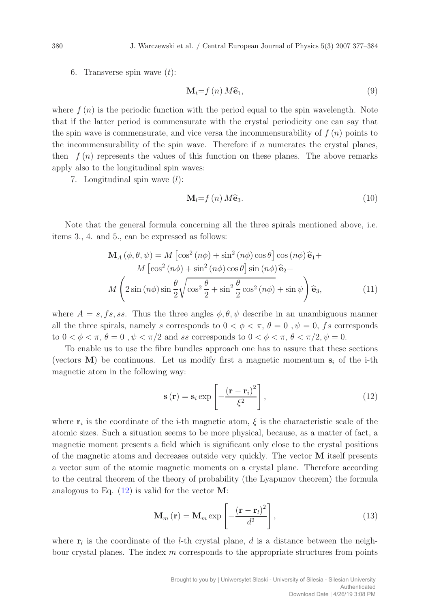6. Transverse spin wave  $(t)$ :

$$
\mathbf{M}_{t} = f(n) M \hat{\mathbf{e}}_{1},\tag{9}
$$

where  $f(n)$  is the periodic function with the period equal to the spin wavelength. Note that if the latter period is commensurate with the crystal periodicity one can say that the spin wave is commensurate, and vice versa the incommensurability of  $f(n)$  points to the incommensurability of the spin wave. Therefore if  $n$  numerates the crystal planes, then  $f(n)$  represents the values of this function on these planes. The above remarks apply also to the longitudinal spin waves:

7. Longitudinal spin wave  $(l)$ :

$$
\mathbf{M}_{l} = f(n) M \hat{\mathbf{e}}_{3}.
$$
 (10)

Note that the general formula concerning all the three spirals mentioned above, i.e. items 3., 4. and 5., can be expressed as follows:

$$
\mathbf{M}_{A}(\phi, \theta, \psi) = M \left[ \cos^{2} (n\phi) + \sin^{2} (n\phi) \cos \theta \right] \cos (n\phi) \hat{\mathbf{e}}_{1} + M \left[ \cos^{2} (n\phi) + \sin^{2} (n\phi) \cos \theta \right] \sin (n\phi) \hat{\mathbf{e}}_{2} + M \left( 2 \sin (n\phi) \sin \frac{\theta}{2} \sqrt{\cos^{2} \frac{\theta}{2} + \sin^{2} \frac{\theta}{2} \cos^{2} (n\phi) + \sin \psi} \right) \hat{\mathbf{e}}_{3},
$$
(11)

where  $A = s, fs, ss$ . Thus the three angles  $\phi, \theta, \psi$  describe in an unambiguous manner all the three spirals, namely s corresponds to  $0 < \phi < \pi$ ,  $\theta = 0$ ,  $\psi = 0$ , fs corresponds to  $0 < \phi < \pi$ ,  $\theta = 0$ ,  $\psi < \pi/2$  and ss corresponds to  $0 < \phi < \pi$ ,  $\theta < \pi/2$ ,  $\psi = 0$ .

To enable us to use the fibre bundles approach one has to assure that these sections (vectors  $M$ ) be continuous. Let us modify first a magnetic momentum  $s_i$  of the i-th magnetic atom in the following way:

<span id="page-4-0"></span>
$$
\mathbf{s}(\mathbf{r}) = \mathbf{s}_i \exp\left[-\frac{(\mathbf{r} - \mathbf{r}_i)^2}{\xi^2}\right],\tag{12}
$$

where  $\mathbf{r}_i$  is the coordinate of the i-th magnetic atom,  $\xi$  is the characteristic scale of the atomic sizes. Such a situation seems to be more physical, because, as a matter of fact, a magnetic moment presents a field which is significant only close to the crystal positions of the magnetic atoms and decreases outside very quickly. The vector **M** itself presents a vector sum of the atomic magnetic moments on a crystal plane. Therefore according to the central theorem of the theory of probability (the Lyapunov theorem) the formula analogous to Eq. [\(12\)](#page-4-0) is valid for the vector **M**:

$$
\mathbf{M}_{m}(\mathbf{r}) = \mathbf{M}_{m} \exp\left[-\frac{(\mathbf{r} - \mathbf{r}_{l})^{2}}{d^{2}}\right],
$$
\n(13)

where  $r_l$  is the coordinate of the *l*-th crystal plane, d is a distance between the neighbour crystal planes. The index  $m$  corresponds to the appropriate structures from points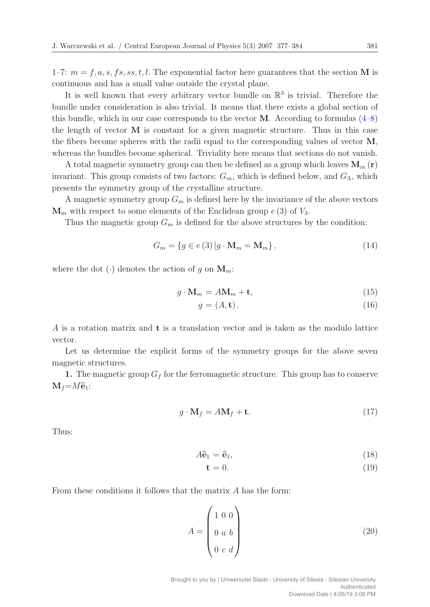1–7:  $m = f, a, s, fs, ss, t, l$ . The exponential factor here guarantees that the section **M** is continuous and has a small value outside the crystal plane.

It is well known that every arbitrary vector bundle on  $\mathbb{R}^3$  is trivial. Therefore the bundle under consideration is also trivial. It means that there exists a global section of this bundle, which in our case corresponds to the vector  $M$ . According to formulas  $(4-8)$  $(4-8)$ the length of vector **M** is constant for a given magnetic structure. Thus in this case the fibers become spheres with the radii equal to the corresponding values of vector **M**, whereas the bundles become spherical. Triviality here means that sections do not vanish.

A total magnetic symmetry group can then be defined as a group which leaves  $\mathbf{M}_m(\mathbf{r})$ invariant. This group consists of two factors:  $G_m$ , which is defined below, and  $G_{\Lambda}$ , which presents the symmetry group of the crystalline structure.

A magnetic symmetry group  $G_m$  is defined here by the invariance of the above vectors  $\mathbf{M}_m$  with respect to some elements of the Euclidean group  $e(3)$  of  $V_3$ .

Thus the magnetic group  $G_m$  is defined for the above structures by the condition:

$$
G_m = \{ g \in e(3) | g \cdot \mathbf{M}_m = \mathbf{M}_m \},\tag{14}
$$

where the dot  $(\cdot)$  denotes the action of g on  $M_m$ :

$$
g \cdot \mathbf{M}_m = A \mathbf{M}_m + \mathbf{t},\tag{15}
$$

$$
g = (A, \mathbf{t}).\tag{16}
$$

A is a rotation matrix and **t** is a translation vector and is taken as the modulo lattice vector.

Let us determine the explicit forms of the symmetry groups for the above seven magnetic structures.

**1.** The magnetic group  $G_f$  for the ferromagnetic structure. This group has to conserve  $M_f=M\hat{\mathbf{e}}_1$ :

$$
g \cdot \mathbf{M}_f = A \mathbf{M}_f + \mathbf{t}.\tag{17}
$$

Thus:

$$
A\hat{\mathbf{e}}_1 = \hat{\mathbf{e}}_1, \tag{18}
$$

$$
\mathbf{t} = 0. \tag{19}
$$

From these conditions it follows that the matrix A has the form:

$$
A = \begin{pmatrix} 1 & 0 & 0 \\ 0 & a & b \\ 0 & c & d \end{pmatrix}
$$
 (20)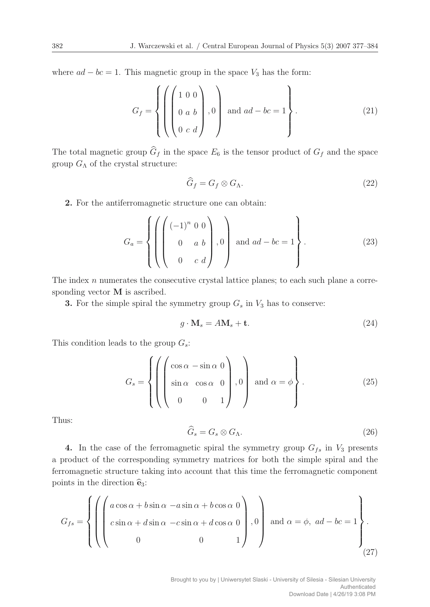where  $ad - bc = 1$ . This magnetic group in the space  $V_3$  has the form:

$$
G_f = \left\{ \left( \begin{pmatrix} 1 & 0 & 0 \\ 0 & a & b \\ 0 & c & d \end{pmatrix}, 0 \right) \text{ and } ad - bc = 1 \right\}.
$$
 (21)

The total magnetic group  $\widehat{G}_f$  in the space  $E_6$  is the tensor product of  $G_f$  and the space group  $G_{\Lambda}$  of the crystal structure:

$$
\widehat{G}_f = G_f \otimes G_\Lambda. \tag{22}
$$

**2.** For the antiferromagnetic structure one can obtain:

$$
G_a = \left\{ \left( \begin{pmatrix} (-1)^n & 0 & 0 \\ 0 & a & b \\ 0 & c & d \end{pmatrix}, 0 \right) \text{ and } ad - bc = 1 \right\}.
$$
 (23)

The index n numerates the consecutive crystal lattice planes; to each such plane a corresponding vector **M** is ascribed.

**3.** For the simple spiral the symmetry group  $G_s$  in  $V_3$  has to conserve:

$$
g \cdot \mathbf{M}_s = A \mathbf{M}_s + \mathbf{t}.\tag{24}
$$

This condition leads to the group  $G_s$ :

$$
G_s = \left\{ \left( \begin{pmatrix} \cos \alpha - \sin \alpha & 0 \\ \sin \alpha & \cos \alpha & 0 \\ 0 & 0 & 1 \end{pmatrix}, 0 \right) \text{ and } \alpha = \phi \right\}.
$$
 (25)

Thus:

$$
\widehat{G}_s = G_s \otimes G_\Lambda. \tag{26}
$$

**4.** In the case of the ferromagnetic spiral the symmetry group  $G_{fs}$  in  $V_3$  presents a product of the corresponding symmetry matrices for both the simple spiral and the ferromagnetic structure taking into account that this time the ferromagnetic component points in the direction **e**3:

$$
G_{fs} = \left\{ \left( \left( \begin{array}{ccc} a\cos\alpha + b\sin\alpha & -a\sin\alpha + b\cos\alpha & 0 \\ c\sin\alpha + d\sin\alpha & -c\sin\alpha + d\cos\alpha & 0 \\ 0 & 0 & 1 \end{array} \right), 0 \right) \text{ and } \alpha = \phi, \ ad - bc = 1 \right\}.
$$
\n(27)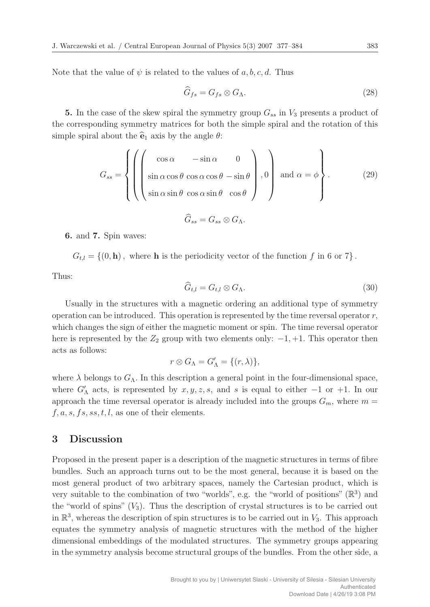Note that the value of  $\psi$  is related to the values of a, b, c, d. Thus

$$
\widehat{G}_{fs} = G_{fs} \otimes G_{\Lambda}.\tag{28}
$$

**5.** In the case of the skew spiral the symmetry group  $G_{ss}$  in  $V_3$  presents a product of the corresponding symmetry matrices for both the simple spiral and the rotation of this simple spiral about the  $\hat{\mathbf{e}}_1$  axis by the angle  $\theta$ :

$$
G_{ss} = \left\{ \left( \left( \begin{array}{ccc} \cos \alpha & -\sin \alpha & 0 \\ \sin \alpha \cos \theta & \cos \alpha \cos \theta & -\sin \theta \\ \sin \alpha \sin \theta & \cos \alpha \sin \theta & \cos \theta \end{array} \right), 0 \right) \text{ and } \alpha = \phi \right\}.
$$
\n(29)

$$
G_{ss}=G_{ss}\otimes G_{\Lambda}.
$$

**6.** and **7.** Spin waves:

 $G_{t,l} = \{(0, \mathbf{h}), \text{ where } \mathbf{h} \text{ is the periodicity vector of the function } f \text{ in 6 or } 7\}.$ 

Thus:

$$
\widehat{G}_{t,l} = G_{t,l} \otimes G_{\Lambda}.\tag{30}
$$

Usually in the structures with a magnetic ordering an additional type of symmetry operation can be introduced. This operation is represented by the time reversal operator  $r$ , which changes the sign of either the magnetic moment or spin. The time reversal operator here is represented by the  $Z_2$  group with two elements only:  $-1, +1$ . This operator then acts as follows:

$$
r \otimes G_{\Lambda} = G'_{\Lambda} = \{(r, \lambda)\},\
$$

where  $\lambda$  belongs to  $G_{\Lambda}$ . In this description a general point in the four-dimensional space, where  $G'_{\Lambda}$  acts, is represented by  $x, y, z, s$ , and s is equal to either  $-1$  or  $+1$ . In our approach the time reversal operator is already included into the groups  $G_m$ , where  $m =$  $f, a, s, fs, ss, t, l$ , as one of their elements.

#### **3 Discussion**

Proposed in the present paper is a description of the magnetic structures in terms of fibre bundles. Such an approach turns out to be the most general, because it is based on the most general product of two arbitrary spaces, namely the Cartesian product, which is very suitable to the combination of two "worlds", e.g. the "world of positions"  $(\mathbb{R}^3)$  and the "world of spins"  $(V_3)$ . Thus the description of crystal structures is to be carried out in  $\mathbb{R}^3$ , whereas the description of spin structures is to be carried out in  $V_3$ . This approach equates the symmetry analysis of magnetic structures with the method of the higher dimensional embeddings of the modulated structures. The symmetry groups appearing in the symmetry analysis become structural groups of the bundles. From the other side, a